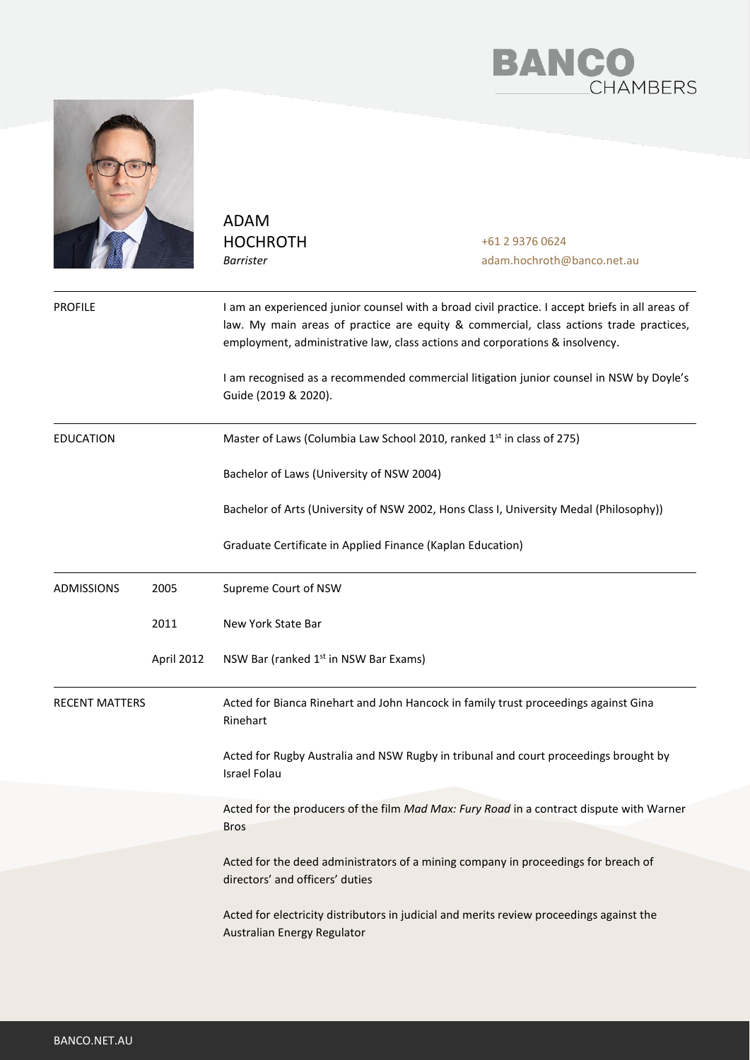



ADAM HOCHROTH *Barrister*

+61 2 9376 0624 adam.hochroth@banco.net.au

| <b>PROFILE</b>        |            | I am an experienced junior counsel with a broad civil practice. I accept briefs in all areas of<br>law. My main areas of practice are equity & commercial, class actions trade practices,<br>employment, administrative law, class actions and corporations & insolvency. |
|-----------------------|------------|---------------------------------------------------------------------------------------------------------------------------------------------------------------------------------------------------------------------------------------------------------------------------|
|                       |            | I am recognised as a recommended commercial litigation junior counsel in NSW by Doyle's<br>Guide (2019 & 2020).                                                                                                                                                           |
| EDUCATION             |            | Master of Laws (Columbia Law School 2010, ranked 1 <sup>st</sup> in class of 275)                                                                                                                                                                                         |
|                       |            | Bachelor of Laws (University of NSW 2004)                                                                                                                                                                                                                                 |
|                       |            | Bachelor of Arts (University of NSW 2002, Hons Class I, University Medal (Philosophy))                                                                                                                                                                                    |
|                       |            | Graduate Certificate in Applied Finance (Kaplan Education)                                                                                                                                                                                                                |
| <b>ADMISSIONS</b>     | 2005       | Supreme Court of NSW                                                                                                                                                                                                                                                      |
|                       | 2011       | New York State Bar                                                                                                                                                                                                                                                        |
|                       | April 2012 | NSW Bar (ranked 1 <sup>st</sup> in NSW Bar Exams)                                                                                                                                                                                                                         |
| <b>RECENT MATTERS</b> |            | Acted for Bianca Rinehart and John Hancock in family trust proceedings against Gina<br>Rinehart                                                                                                                                                                           |
|                       |            | Acted for Rugby Australia and NSW Rugby in tribunal and court proceedings brought by<br><b>Israel Folau</b>                                                                                                                                                               |
|                       |            | Acted for the producers of the film Mad Max: Fury Road in a contract dispute with Warner<br><b>Bros</b>                                                                                                                                                                   |
|                       |            | Acted for the deed administrators of a mining company in proceedings for breach of<br>directors' and officers' duties                                                                                                                                                     |
|                       |            | Acted for electricity distributors in judicial and merits review proceedings against the<br>Australian Energy Regulator                                                                                                                                                   |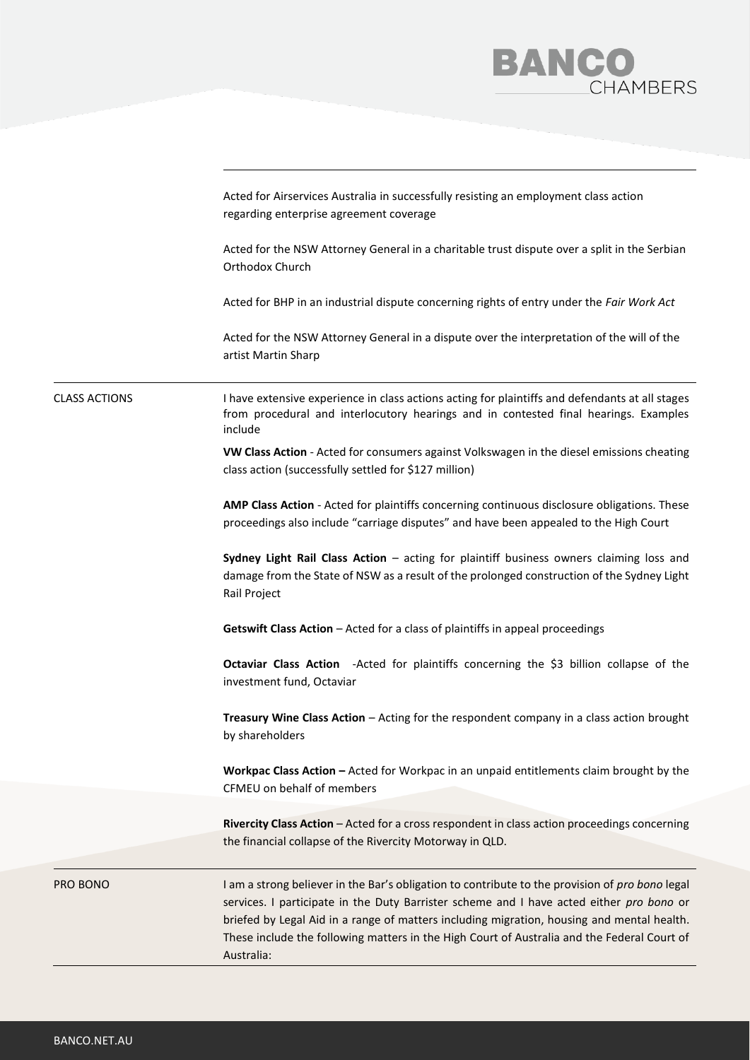

|                      | Acted for Airservices Australia in successfully resisting an employment class action<br>regarding enterprise agreement coverage                                                                                                                                                                                                                                                                        |
|----------------------|--------------------------------------------------------------------------------------------------------------------------------------------------------------------------------------------------------------------------------------------------------------------------------------------------------------------------------------------------------------------------------------------------------|
|                      | Acted for the NSW Attorney General in a charitable trust dispute over a split in the Serbian<br>Orthodox Church                                                                                                                                                                                                                                                                                        |
|                      | Acted for BHP in an industrial dispute concerning rights of entry under the Fair Work Act                                                                                                                                                                                                                                                                                                              |
|                      | Acted for the NSW Attorney General in a dispute over the interpretation of the will of the<br>artist Martin Sharp                                                                                                                                                                                                                                                                                      |
| <b>CLASS ACTIONS</b> | I have extensive experience in class actions acting for plaintiffs and defendants at all stages<br>from procedural and interlocutory hearings and in contested final hearings. Examples<br>include                                                                                                                                                                                                     |
|                      | VW Class Action - Acted for consumers against Volkswagen in the diesel emissions cheating<br>class action (successfully settled for \$127 million)                                                                                                                                                                                                                                                     |
|                      | AMP Class Action - Acted for plaintiffs concerning continuous disclosure obligations. These<br>proceedings also include "carriage disputes" and have been appealed to the High Court                                                                                                                                                                                                                   |
|                      | Sydney Light Rail Class Action - acting for plaintiff business owners claiming loss and<br>damage from the State of NSW as a result of the prolonged construction of the Sydney Light<br>Rail Project                                                                                                                                                                                                  |
|                      | Getswift Class Action - Acted for a class of plaintiffs in appeal proceedings                                                                                                                                                                                                                                                                                                                          |
|                      | Octaviar Class Action - Acted for plaintiffs concerning the \$3 billion collapse of the<br>investment fund, Octaviar                                                                                                                                                                                                                                                                                   |
|                      | Treasury Wine Class Action - Acting for the respondent company in a class action brought<br>by shareholders                                                                                                                                                                                                                                                                                            |
|                      | Workpac Class Action - Acted for Workpac in an unpaid entitlements claim brought by the<br>CFMEU on behalf of members                                                                                                                                                                                                                                                                                  |
|                      | Rivercity Class Action - Acted for a cross respondent in class action proceedings concerning<br>the financial collapse of the Rivercity Motorway in QLD.                                                                                                                                                                                                                                               |
| PRO BONO             | I am a strong believer in the Bar's obligation to contribute to the provision of pro bono legal<br>services. I participate in the Duty Barrister scheme and I have acted either pro bono or<br>briefed by Legal Aid in a range of matters including migration, housing and mental health.<br>These include the following matters in the High Court of Australia and the Federal Court of<br>Australia: |